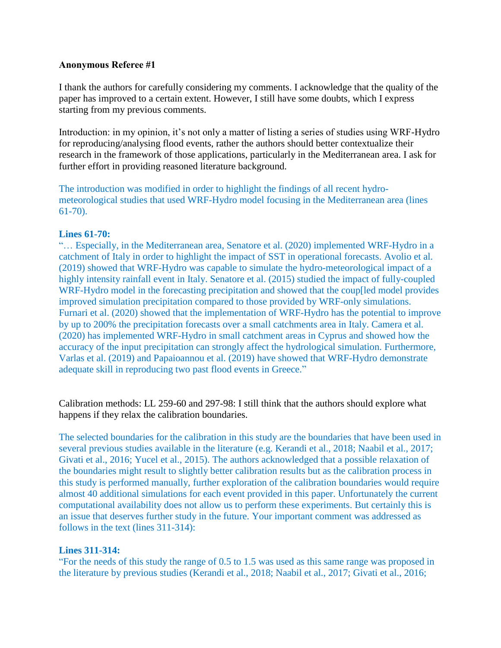### **Anonymous Referee #1**

I thank the authors for carefully considering my comments. I acknowledge that the quality of the paper has improved to a certain extent. However, I still have some doubts, which I express starting from my previous comments.

Introduction: in my opinion, it's not only a matter of listing a series of studies using WRF-Hydro for reproducing/analysing flood events, rather the authors should better contextualize their research in the framework of those applications, particularly in the Mediterranean area. I ask for further effort in providing reasoned literature background.

The introduction was modified in order to highlight the findings of all recent hydrometeorological studies that used WRF-Hydro model focusing in the Mediterranean area (lines 61-70).

### **Lines 61-70:**

"… Especially, in the Mediterranean area, Senatore et al. (2020) implemented WRF-Hydro in a catchment of Italy in order to highlight the impact of SST in operational forecasts. Avolio et al. (2019) showed that WRF-Hydro was capable to simulate the hydro-meteorological impact of a highly intensity rainfall event in Italy. Senatore et al. (2015) studied the impact of fully-coupled WRF-Hydro model in the forecasting precipitation and showed that the coup[led model provides improved simulation precipitation compared to those provided by WRF-only simulations. Furnari et al. (2020) showed that the implementation of WRF-Hydro has the potential to improve by up to 200% the precipitation forecasts over a small catchments area in Italy. Camera et al. (2020) has implemented WRF-Hydro in small catchment areas in Cyprus and showed how the accuracy of the input precipitation can strongly affect the hydrological simulation. Furthermore, Varlas et al. (2019) and Papaioannou et al. (2019) have showed that WRF-Hydro demonstrate adequate skill in reproducing two past flood events in Greece."

Calibration methods: LL 259-60 and 297-98: I still think that the authors should explore what happens if they relax the calibration boundaries.

The selected boundaries for the calibration in this study are the boundaries that have been used in several previous studies available in the literature (e.g. Kerandi et al., 2018; Naabil et al., 2017; Givati et al., 2016; Yucel et al., 2015). The authors acknowledged that a possible relaxation of the boundaries might result to slightly better calibration results but as the calibration process in this study is performed manually, further exploration of the calibration boundaries would require almost 40 additional simulations for each event provided in this paper. Unfortunately the current computational availability does not allow us to perform these experiments. But certainly this is an issue that deserves further study in the future. Your important comment was addressed as follows in the text (lines 311-314):

## **Lines 311-314:**

"For the needs of this study the range of 0.5 to 1.5 was used as this same range was proposed in the literature by previous studies (Kerandi et al., 2018; Naabil et al., 2017; Givati et al., 2016;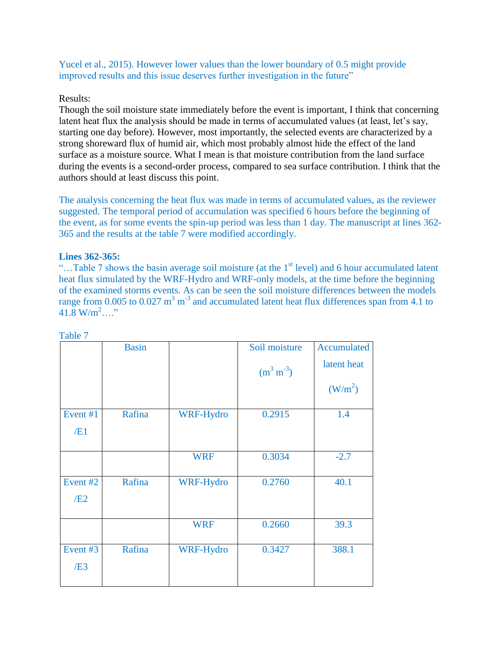Yucel et al., 2015). However lower values than the lower boundary of 0.5 might provide improved results and this issue deserves further investigation in the future"

## Results:

Though the soil moisture state immediately before the event is important, I think that concerning latent heat flux the analysis should be made in terms of accumulated values (at least, let's say, starting one day before). However, most importantly, the selected events are characterized by a strong shoreward flux of humid air, which most probably almost hide the effect of the land surface as a moisture source. What I mean is that moisture contribution from the land surface during the events is a second-order process, compared to sea surface contribution. I think that the authors should at least discuss this point.

The analysis concerning the heat flux was made in terms of accumulated values, as the reviewer suggested. The temporal period of accumulation was specified 6 hours before the beginning of the event, as for some events the spin-up period was less than 1 day. The manuscript at lines 362- 365 and the results at the table 7 were modified accordingly.

## **Lines 362-365:**

"...Table 7 shows the basin average soil moisture (at the  $1<sup>st</sup>$  level) and 6 hour accumulated latent heat flux simulated by the WRF-Hydro and WRF-only models, at the time before the beginning of the examined storms events. As can be seen the soil moisture differences between the models range from 0.005 to 0.027  $m^3 m^{-3}$  and accumulated latent heat flux differences span from 4.1 to  $41.8 \text{ W/m}^2$  "

|                     | <b>Basin</b> |            | Soil moisture  | Accumulated         |
|---------------------|--------------|------------|----------------|---------------------|
|                     |              |            | $(m^3 m^{-3})$ | latent heat         |
|                     |              |            |                | (W/m <sup>2</sup> ) |
| Event #1            | Rafina       | WRF-Hydro  | 0.2915         | 1.4                 |
| /E1                 |              |            |                |                     |
|                     |              | <b>WRF</b> | 0.3034         | $-2.7$              |
| Event <sub>#2</sub> | Rafina       | WRF-Hydro  | 0.2760         | 40.1                |
| /E2                 |              |            |                |                     |
|                     |              | <b>WRF</b> | 0.2660         | 39.3                |
| Event #3            | Rafina       | WRF-Hydro  | 0.3427         | 388.1               |
| /E3                 |              |            |                |                     |

Table 7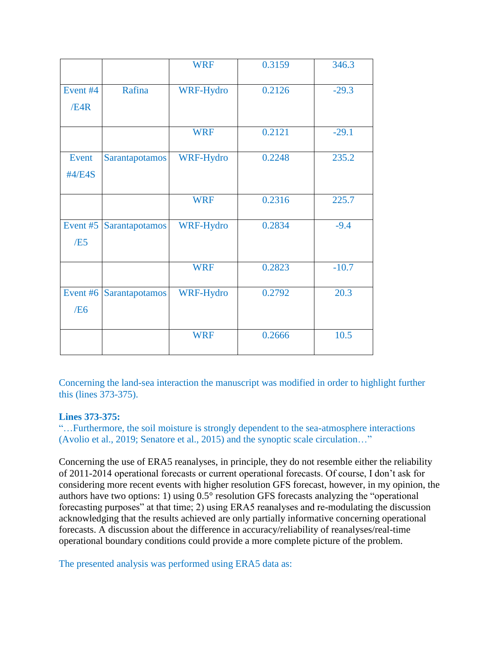|                        |                | <b>WRF</b> | 0.3159 | 346.3   |
|------------------------|----------------|------------|--------|---------|
| Event #4<br>/E4R       | Rafina         | WRF-Hydro  | 0.2126 | $-29.3$ |
|                        |                | <b>WRF</b> | 0.2121 | $-29.1$ |
| Event<br>#4/E4S        | Sarantapotamos | WRF-Hydro  | 0.2248 | 235.2   |
|                        |                | <b>WRF</b> | 0.2316 | 225.7   |
| Event #5<br>/E5        | Sarantapotamos | WRF-Hydro  | 0.2834 | $-9.4$  |
|                        |                | <b>WRF</b> | 0.2823 | $-10.7$ |
| Event #6<br><b>/E6</b> | Sarantapotamos | WRF-Hydro  | 0.2792 | 20.3    |
|                        |                | <b>WRF</b> | 0.2666 | 10.5    |

Concerning the land-sea interaction the manuscript was modified in order to highlight further this (lines 373-375).

# **Lines 373-375:**

"…Furthermore, the soil moisture is strongly dependent to the sea-atmosphere interactions (Avolio et al., 2019; Senatore et al., 2015) and the synoptic scale circulation…"

Concerning the use of ERA5 reanalyses, in principle, they do not resemble either the reliability of 2011-2014 operational forecasts or current operational forecasts. Of course, I don't ask for considering more recent events with higher resolution GFS forecast, however, in my opinion, the authors have two options: 1) using 0.5° resolution GFS forecasts analyzing the "operational forecasting purposes" at that time; 2) using ERA5 reanalyses and re-modulating the discussion acknowledging that the results achieved are only partially informative concerning operational forecasts. A discussion about the difference in accuracy/reliability of reanalyses/real-time operational boundary conditions could provide a more complete picture of the problem.

The presented analysis was performed using ERA5 data as: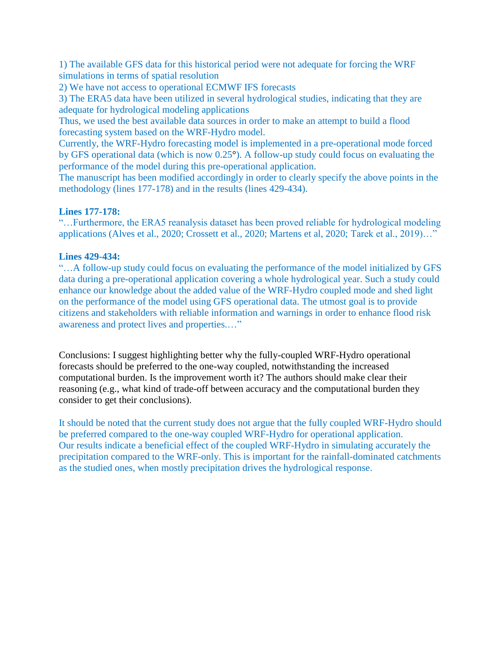1) The available GFS data for this historical period were not adequate for forcing the WRF simulations in terms of spatial resolution

2) We have not access to operational ECMWF IFS forecasts

3) The ERA5 data have been utilized in several hydrological studies, indicating that they are adequate for hydrological modeling applications

Thus, we used the best available data sources in order to make an attempt to build a flood forecasting system based on the WRF-Hydro model.

Currently, the WRF-Hydro forecasting model is implemented in a pre-operational mode forced by GFS operational data (which is now 0.25°). A follow-up study could focus on evaluating the performance of the model during this pre-operational application.

The manuscript has been modified accordingly in order to clearly specify the above points in the methodology (lines 177-178) and in the results (lines 429-434).

# **Lines 177-178:**

"…Furthermore, the ERA5 reanalysis dataset has been proved reliable for hydrological modeling applications (Alves et al., 2020; Crossett et al., 2020; Martens et al, 2020; Tarek et al., 2019)…"

## **Lines 429-434:**

"…A follow-up study could focus on evaluating the performance of the model initialized by GFS data during a pre-operational application covering a whole hydrological year. Such a study could enhance our knowledge about the added value of the WRF-Hydro coupled mode and shed light on the performance of the model using GFS operational data. The utmost goal is to provide citizens and stakeholders with reliable information and warnings in order to enhance flood risk awareness and protect lives and properties.…"

Conclusions: I suggest highlighting better why the fully-coupled WRF-Hydro operational forecasts should be preferred to the one-way coupled, notwithstanding the increased computational burden. Is the improvement worth it? The authors should make clear their reasoning (e.g., what kind of trade-off between accuracy and the computational burden they consider to get their conclusions).

It should be noted that the current study does not argue that the fully coupled WRF-Hydro should be preferred compared to the one-way coupled WRF-Hydro for operational application. Our results indicate a beneficial effect of the coupled WRF-Hydro in simulating accurately the precipitation compared to the WRF-only. This is important for the rainfall-dominated catchments as the studied ones, when mostly precipitation drives the hydrological response.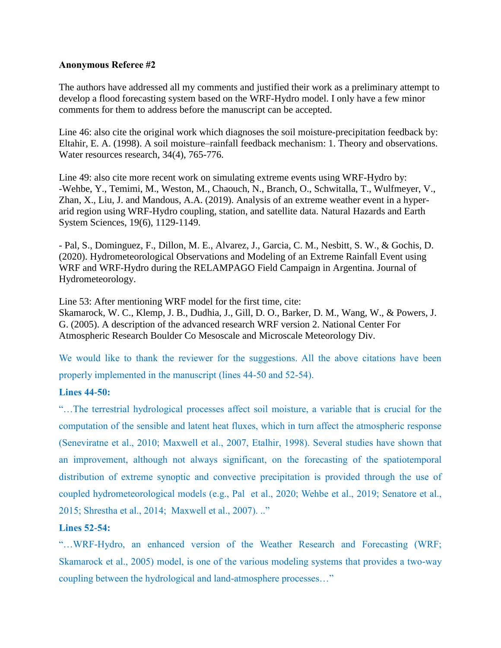### **Anonymous Referee #2**

The authors have addressed all my comments and justified their work as a preliminary attempt to develop a flood forecasting system based on the WRF-Hydro model. I only have a few minor comments for them to address before the manuscript can be accepted.

Line 46: also cite the original work which diagnoses the soil moisture-precipitation feedback by: Eltahir, E. A. (1998). A soil moisture–rainfall feedback mechanism: 1. Theory and observations. Water resources research, 34(4), 765-776.

Line 49: also cite more recent work on simulating extreme events using WRF-Hydro by: -Wehbe, Y., Temimi, M., Weston, M., Chaouch, N., Branch, O., Schwitalla, T., Wulfmeyer, V., Zhan, X., Liu, J. and Mandous, A.A. (2019). Analysis of an extreme weather event in a hyperarid region using WRF-Hydro coupling, station, and satellite data. Natural Hazards and Earth System Sciences, 19(6), 1129-1149.

- Pal, S., Dominguez, F., Dillon, M. E., Alvarez, J., Garcia, C. M., Nesbitt, S. W., & Gochis, D. (2020). Hydrometeorological Observations and Modeling of an Extreme Rainfall Event using WRF and WRF-Hydro during the RELAMPAGO Field Campaign in Argentina. Journal of Hydrometeorology.

Line 53: After mentioning WRF model for the first time, cite:

Skamarock, W. C., Klemp, J. B., Dudhia, J., Gill, D. O., Barker, D. M., Wang, W., & Powers, J. G. (2005). A description of the advanced research WRF version 2. National Center For Atmospheric Research Boulder Co Mesoscale and Microscale Meteorology Div.

We would like to thank the reviewer for the suggestions. All the above citations have been properly implemented in the manuscript (lines 44-50 and 52-54).

## **Lines 44-50:**

"…The terrestrial hydrological processes affect soil moisture, a variable that is crucial for the computation of the sensible and latent heat fluxes, which in turn affect the atmospheric response (Seneviratne et al., 2010; Maxwell et al., 2007, Etalhir, 1998). Several studies have shown that an improvement, although not always significant, on the forecasting of the spatiotemporal distribution of extreme synoptic and convective precipitation is provided through the use of coupled hydrometeorological models (e.g., Pal et al., 2020; Wehbe et al., 2019; Senatore et al., 2015; Shrestha et al., 2014; Maxwell et al., 2007). .."

## **Lines 52-54:**

"…WRF-Hydro, an enhanced version of the Weather Research and Forecasting (WRF; Skamarock et al., 2005) model, is one of the various modeling systems that provides a two-way coupling between the hydrological and land-atmosphere processes…"